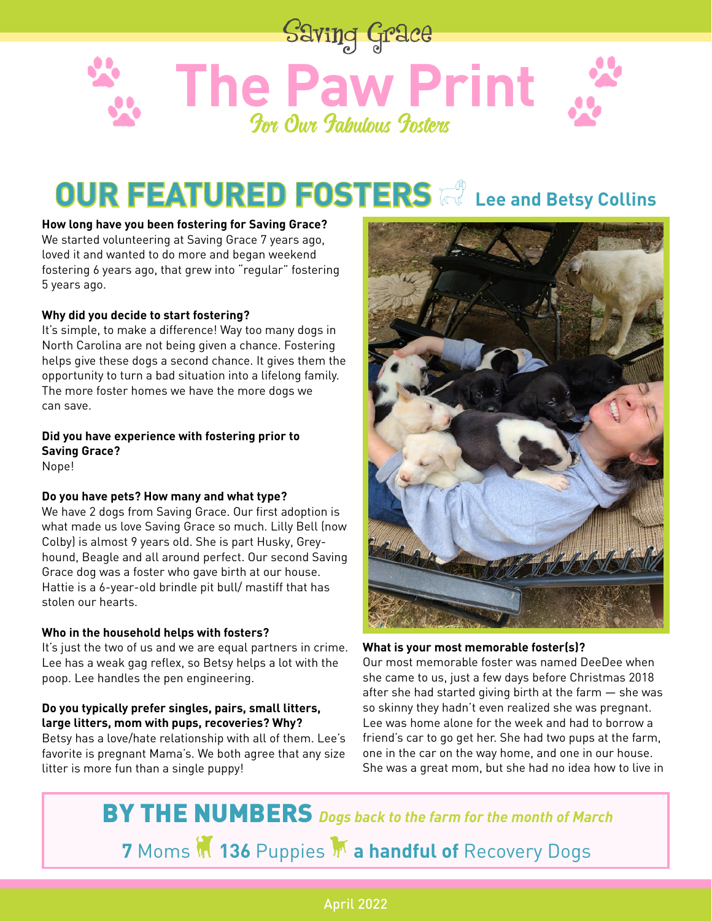

# **OUR FEATURED FOSTERS Example 20 Lee and Betsy Collins**

**How long have you been fostering for Saving Grace?** We started volunteering at Saving Grace 7 years ago, loved it and wanted to do more and began weekend fostering 6 years ago, that grew into "regular" fostering

#### **Why did you decide to start fostering?**

It's simple, to make a difference! Way too many dogs in North Carolina are not being given a chance. Fostering helps give these dogs a second chance. It gives them the opportunity to turn a bad situation into a lifelong family. The more foster homes we have the more dogs we can save.

**Did you have experience with fostering prior to Saving Grace?**

Nope!

5 years ago.

#### **Do you have pets? How many and what type?**

We have 2 dogs from Saving Grace. Our first adoption is what made us love Saving Grace so much. Lilly Bell (now Colby) is almost 9 years old. She is part Husky, Greyhound, Beagle and all around perfect. Our second Saving Grace dog was a foster who gave birth at our house. Hattie is a 6-year-old brindle pit bull/ mastiff that has stolen our hearts.

#### **Who in the household helps with fosters?**

It's just the two of us and we are equal partners in crime. Lee has a weak gag reflex, so Betsy helps a lot with the poop. Lee handles the pen engineering.

**Do you typically prefer singles, pairs, small litters, large litters, mom with pups, recoveries? Why?** Betsy has a love/hate relationship with all of them. Lee's favorite is pregnant Mama's. We both agree that any size litter is more fun than a single puppy!



**What is your most memorable foster(s)?**

Our most memorable foster was named DeeDee when she came to us, just a few days before Christmas 2018 after she had started giving birth at the farm — she was so skinny they hadn't even realized she was pregnant. Lee was home alone for the week and had to borrow a friend's car to go get her. She had two pups at the farm, one in the car on the way home, and one in our house. She was a great mom, but she had no idea how to live in

BY THE NUMBERS *Dogs back to the farm for the month of March* **7** Moms M 136 Puppies M a handful of Recovery Dogs

#### April 2022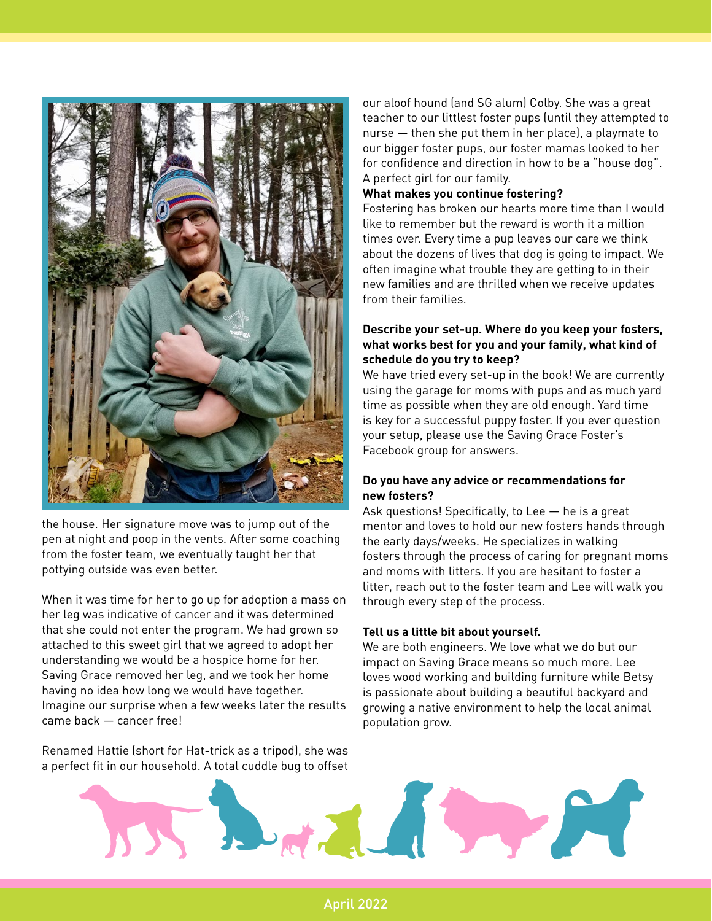

the house. Her signature move was to jump out of the pen at night and poop in the vents. After some coaching from the foster team, we eventually taught her that pottying outside was even better.

When it was time for her to go up for adoption a mass on her leg was indicative of cancer and it was determined that she could not enter the program. We had grown so attached to this sweet girl that we agreed to adopt her understanding we would be a hospice home for her. Saving Grace removed her leg, and we took her home having no idea how long we would have together. Imagine our surprise when a few weeks later the results came back — cancer free!

Renamed Hattie (short for Hat-trick as a tripod), she was a perfect fit in our household. A total cuddle bug to offset our aloof hound (and SG alum) Colby. She was a great teacher to our littlest foster pups (until they attempted to nurse — then she put them in her place), a playmate to our bigger foster pups, our foster mamas looked to her for confidence and direction in how to be a "house dog". A perfect girl for our family.

#### **What makes you continue fostering?**

Fostering has broken our hearts more time than I would like to remember but the reward is worth it a million times over. Every time a pup leaves our care we think about the dozens of lives that dog is going to impact. We often imagine what trouble they are getting to in their new families and are thrilled when we receive updates from their families.

#### **Describe your set-up. Where do you keep your fosters, what works best for you and your family, what kind of schedule do you try to keep?**

We have tried every set-up in the book! We are currently using the garage for moms with pups and as much yard time as possible when they are old enough. Yard time is key for a successful puppy foster. If you ever question your setup, please use the Saving Grace Foster's Facebook group for answers.

#### **Do you have any advice or recommendations for new fosters?**

Ask questions! Specifically, to Lee — he is a great mentor and loves to hold our new fosters hands through the early days/weeks. He specializes in walking fosters through the process of caring for pregnant moms and moms with litters. If you are hesitant to foster a litter, reach out to the foster team and Lee will walk you through every step of the process.

#### **Tell us a little bit about yourself.**

We are both engineers. We love what we do but our impact on Saving Grace means so much more. Lee loves wood working and building furniture while Betsy is passionate about building a beautiful backyard and growing a native environment to help the local animal population grow.



April 2022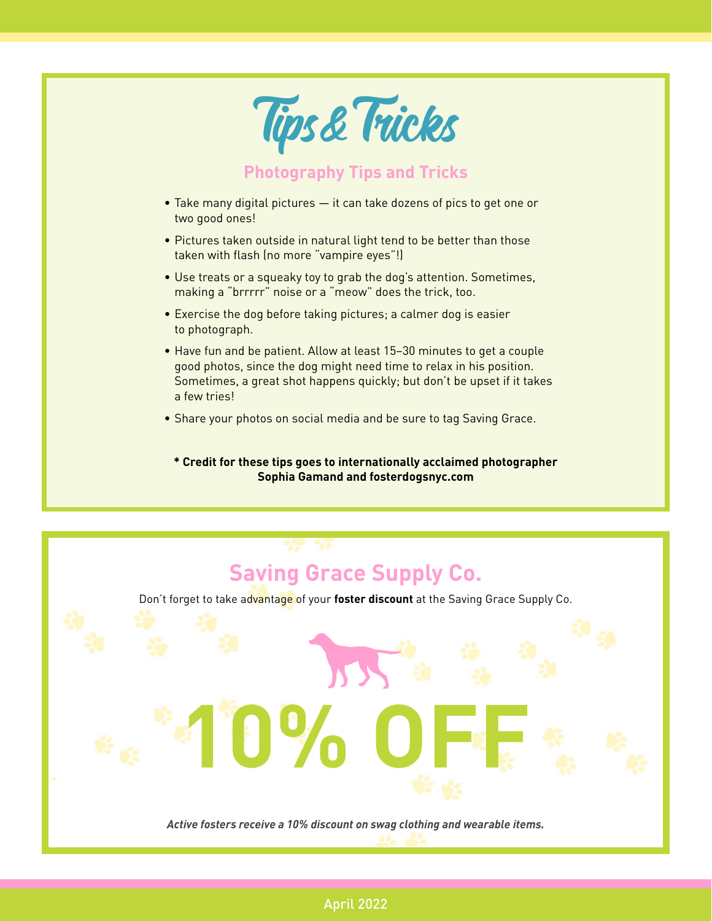

# **Saving Grace Supply Co.**

Sold Lines Don't forget to take advantage of your **foster discount** at the Saving Grace Supply Co.

*Active fosters receive a 10% discount on swag clothing and wearable items.*

**10% OFF**

#### April 2022